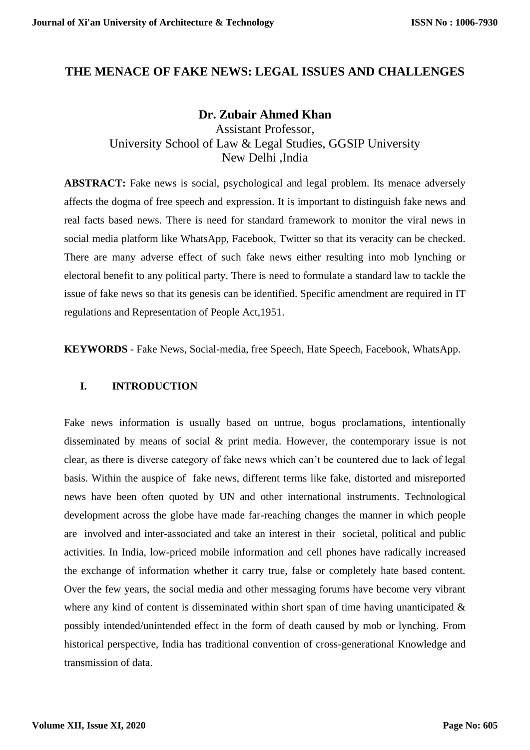### **THE MENACE OF FAKE NEWS: LEGAL ISSUES AND CHALLENGES**

### **Dr. Zubair Ahmed Khan** Assistant Professor, University School of Law & Legal Studies, GGSIP University New Delhi ,India

**ABSTRACT:** Fake news is social, psychological and legal problem. Its menace adversely affects the dogma of free speech and expression. It is important to distinguish fake news and real facts based news. There is need for standard framework to monitor the viral news in social media platform like WhatsApp, Facebook, Twitter so that its veracity can be checked. There are many adverse effect of such fake news either resulting into mob lynching or electoral benefit to any political party. There is need to formulate a standard law to tackle the issue of fake news so that its genesis can be identified. Specific amendment are required in IT regulations and Representation of People Act,1951.

**KEYWORDS** - Fake News, Social-media, free Speech, Hate Speech, Facebook, WhatsApp.

#### **I. INTRODUCTION**

Fake news information is usually based on untrue, bogus proclamations, intentionally disseminated by means of social & print media. However, the contemporary issue is not clear, as there is diverse category of fake news which can't be countered due to lack of legal basis. Within the auspice of fake news, different terms like fake, distorted and misreported news have been often quoted by UN and other international instruments. Technological development across the globe have made far-reaching changes the manner in which people are involved and inter-associated and take an interest in their societal, political and public activities. In India, low-priced mobile information and cell phones have radically increased the exchange of information whether it carry true, false or completely hate based content. Over the few years, the social media and other messaging forums have become very vibrant where any kind of content is disseminated within short span of time having unanticipated  $\&$ possibly intended/unintended effect in the form of death caused by mob or lynching. From historical perspective, India has traditional convention of cross-generational Knowledge and transmission of data.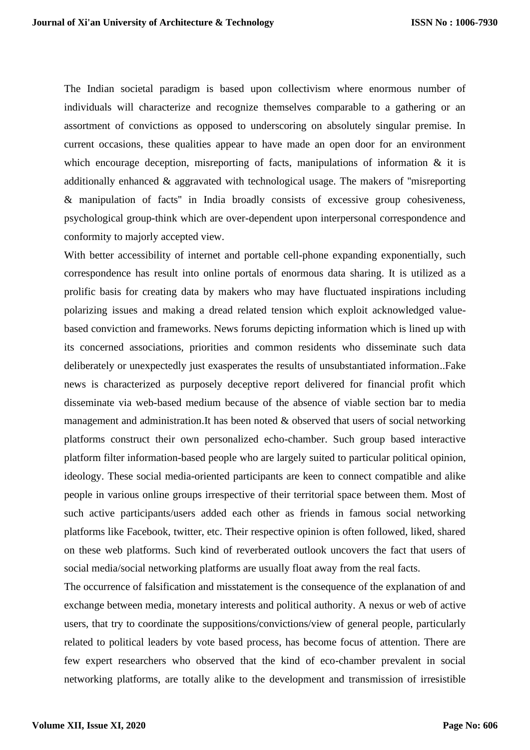The Indian societal paradigm is based upon collectivism where enormous number of individuals will characterize and recognize themselves comparable to a gathering or an assortment of convictions as opposed to underscoring on absolutely singular premise. In current occasions, these qualities appear to have made an open door for an environment which encourage deception, misreporting of facts, manipulations of information  $\&$  it is additionally enhanced & aggravated with technological usage. The makers of ''misreporting & manipulation of facts'' in India broadly consists of excessive group cohesiveness, psychological group-think which are over-dependent upon interpersonal correspondence and conformity to majorly accepted view.

With better accessibility of internet and portable cell-phone expanding exponentially, such correspondence has result into online portals of enormous data sharing. It is utilized as a prolific basis for creating data by makers who may have fluctuated inspirations including polarizing issues and making a dread related tension which exploit acknowledged valuebased conviction and frameworks. News forums depicting information which is lined up with its concerned associations, priorities and common residents who disseminate such data deliberately or unexpectedly just exasperates the results of unsubstantiated information..Fake news is characterized as purposely deceptive report delivered for financial profit which disseminate via web-based medium because of the absence of viable section bar to media management and administration.It has been noted & observed that users of social networking platforms construct their own personalized echo-chamber. Such group based interactive platform filter information-based people who are largely suited to particular political opinion, ideology. These social media-oriented participants are keen to connect compatible and alike people in various online groups irrespective of their territorial space between them. Most of such active participants/users added each other as friends in famous social networking platforms like Facebook, twitter, etc. Their respective opinion is often followed, liked, shared on these web platforms. Such kind of reverberated outlook uncovers the fact that users of social media/social networking platforms are usually float away from the real facts.

The occurrence of falsification and misstatement is the consequence of the explanation of and exchange between media, monetary interests and political authority. A nexus or web of active users, that try to coordinate the suppositions/convictions/view of general people, particularly related to political leaders by vote based process, has become focus of attention. There are few expert researchers who observed that the kind of eco-chamber prevalent in social networking platforms, are totally alike to the development and transmission of irresistible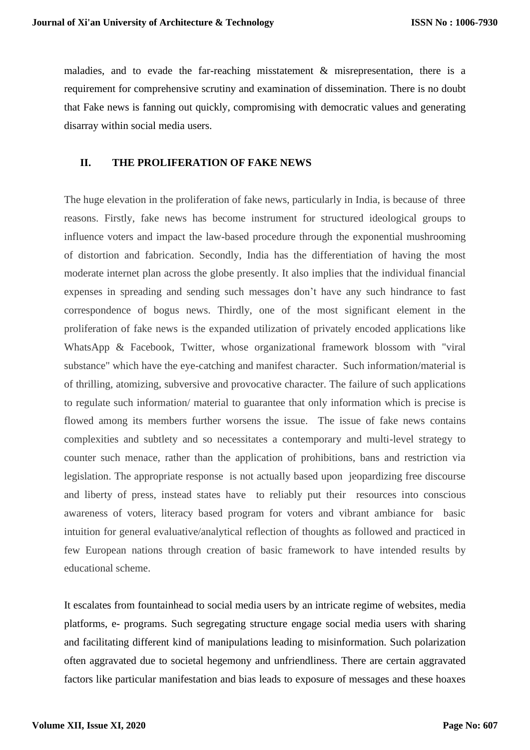maladies, and to evade the far-reaching misstatement  $\&$  misrepresentation, there is a requirement for comprehensive scrutiny and examination of dissemination. There is no doubt that Fake news is fanning out quickly, compromising with democratic values and generating disarray within social media users.

#### **II. THE PROLIFERATION OF FAKE NEWS**

The huge elevation in the proliferation of fake news, particularly in India, is because of three reasons. Firstly, fake news has become instrument for structured ideological groups to influence voters and impact the law-based procedure through the exponential mushrooming of distortion and fabrication. Secondly, India has the differentiation of having the most moderate internet plan across the globe presently. It also implies that the individual financial expenses in spreading and sending such messages don't have any such hindrance to fast correspondence of bogus news. Thirdly, one of the most significant element in the proliferation of fake news is the expanded utilization of privately encoded applications like WhatsApp & Facebook, Twitter, whose organizational framework blossom with "viral substance" which have the eye-catching and manifest character. Such information/material is of thrilling, atomizing, subversive and provocative character. The failure of such applications to regulate such information/ material to guarantee that only information which is precise is flowed among its members further worsens the issue. The issue of fake news contains complexities and subtlety and so necessitates a contemporary and multi-level strategy to counter such menace, rather than the application of prohibitions, bans and restriction via legislation. The appropriate response is not actually based upon jeopardizing free discourse and liberty of press, instead states have to reliably put their resources into conscious awareness of voters, literacy based program for voters and vibrant ambiance for basic intuition for general evaluative/analytical reflection of thoughts as followed and practiced in few European nations through creation of basic framework to have intended results by educational scheme.

It escalates from fountainhead to social media users by an intricate regime of websites, media platforms, e- programs. Such segregating structure engage social media users with sharing and facilitating different kind of manipulations leading to misinformation. Such polarization often aggravated due to societal hegemony and unfriendliness. There are certain aggravated factors like particular manifestation and bias leads to exposure of messages and these hoaxes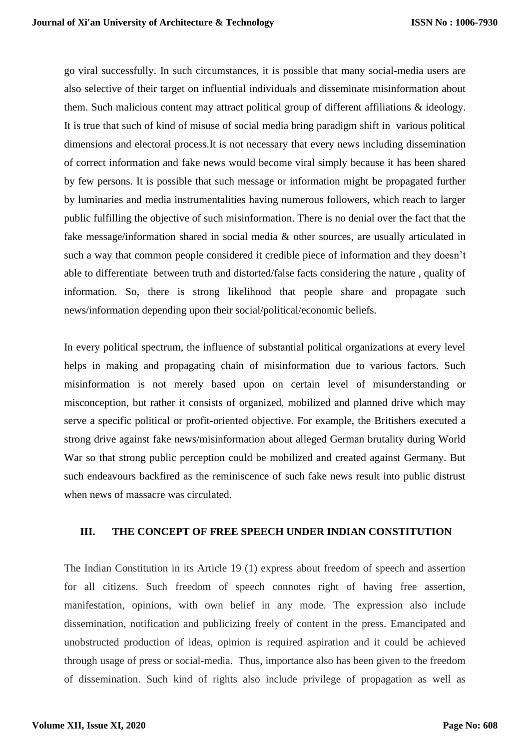go viral successfully. In such circumstances, it is possible that many social-media users are also selective of their target on influential individuals and disseminate misinformation about them. Such malicious content may attract political group of different affiliations & ideology. It is true that such of kind of misuse of social media bring paradigm shift in various political dimensions and electoral process.It is not necessary that every news including dissemination of correct information and fake news would become viral simply because it has been shared by few persons. It is possible that such message or information might be propagated further by luminaries and media instrumentalities having numerous followers, which reach to larger public fulfilling the objective of such misinformation. There is no denial over the fact that the fake message/information shared in social media & other sources, are usually articulated in such a way that common people considered it credible piece of information and they doesn't able to differentiate between truth and distorted/false facts considering the nature , quality of information. So, there is strong likelihood that people share and propagate such news/information depending upon their social/political/economic beliefs.

In every political spectrum, the influence of substantial political organizations at every level helps in making and propagating chain of misinformation due to various factors. Such misinformation is not merely based upon on certain level of misunderstanding or misconception, but rather it consists of organized, mobilized and planned drive which may serve a specific political or profit-oriented objective. For example, the Britishers executed a strong drive against fake news/misinformation about alleged German brutality during World War so that strong public perception could be mobilized and created against Germany. But such endeavours backfired as the reminiscence of such fake news result into public distrust when news of massacre was circulated.

#### **III. THE CONCEPT OF FREE SPEECH UNDER INDIAN CONSTITUTION**

The Indian Constitution in its Article 19 (1) express about freedom of speech and assertion for all citizens. Such freedom of speech connotes right of having free assertion, manifestation, opinions, with own belief in any mode. The expression also include dissemination, notification and publicizing freely of content in the press. Emancipated and unobstructed production of ideas, opinion is required aspiration and it could be achieved through usage of press or social-media. Thus, importance also has been given to the freedom of dissemination. Such kind of rights also include privilege of propagation as well as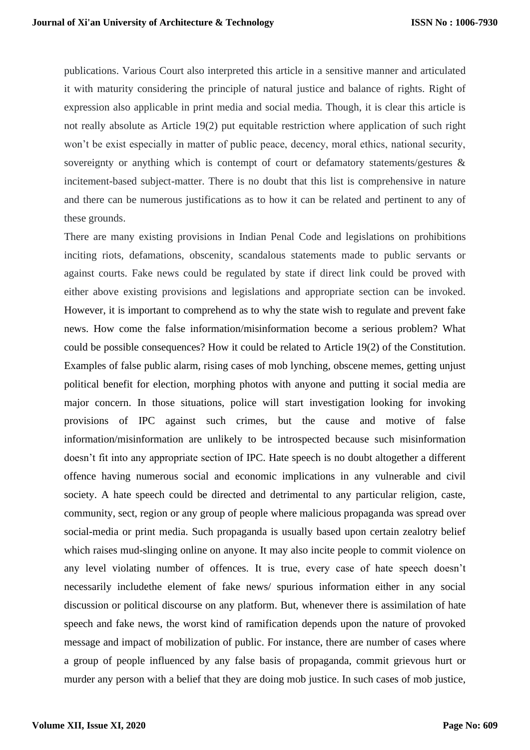publications. Various Court also interpreted this article in a sensitive manner and articulated it with maturity considering the principle of natural justice and balance of rights. Right of expression also applicable in print media and social media. Though, it is clear this article is not really absolute as Article 19(2) put equitable restriction where application of such right won't be exist especially in matter of public peace, decency, moral ethics, national security, sovereignty or anything which is contempt of court or defamatory statements/gestures & incitement-based subject-matter. There is no doubt that this list is comprehensive in nature and there can be numerous justifications as to how it can be related and pertinent to any of these grounds.

There are many existing provisions in Indian Penal Code and legislations on prohibitions inciting riots, defamations, obscenity, scandalous statements made to public servants or against courts. Fake news could be regulated by state if direct link could be proved with either above existing provisions and legislations and appropriate section can be invoked. However, it is important to comprehend as to why the state wish to regulate and prevent fake news. How come the false information/misinformation become a serious problem? What could be possible consequences? How it could be related to Article 19(2) of the Constitution. Examples of false public alarm, rising cases of mob lynching, obscene memes, getting unjust political benefit for election, morphing photos with anyone and putting it social media are major concern. In those situations, police will start investigation looking for invoking provisions of IPC against such crimes, but the cause and motive of false information/misinformation are unlikely to be introspected because such misinformation doesn't fit into any appropriate section of IPC. Hate speech is no doubt altogether a different offence having numerous social and economic implications in any vulnerable and civil society. A hate speech could be directed and detrimental to any particular religion, caste, community, sect, region or any group of people where malicious propaganda was spread over social-media or print media. Such propaganda is usually based upon certain zealotry belief which raises mud-slinging online on anyone. It may also incite people to commit violence on any level violating number of offences. It is true, every case of hate speech doesn't necessarily includethe element of fake news/ spurious information either in any social discussion or political discourse on any platform. But, whenever there is assimilation of hate speech and fake news, the worst kind of ramification depends upon the nature of provoked message and impact of mobilization of public. For instance, there are number of cases where a group of people influenced by any false basis of propaganda, commit grievous hurt or murder any person with a belief that they are doing mob justice. In such cases of mob justice,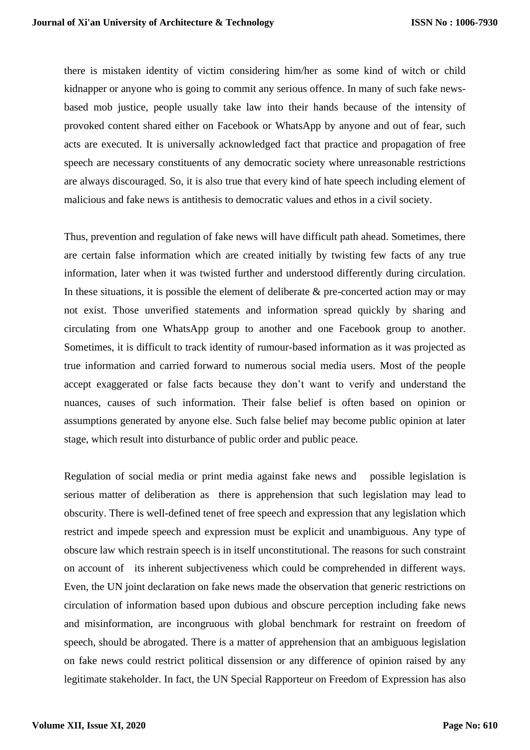there is mistaken identity of victim considering him/her as some kind of witch or child kidnapper or anyone who is going to commit any serious offence. In many of such fake newsbased mob justice, people usually take law into their hands because of the intensity of provoked content shared either on Facebook or WhatsApp by anyone and out of fear, such acts are executed. It is universally acknowledged fact that practice and propagation of free speech are necessary constituents of any democratic society where unreasonable restrictions are always discouraged. So, it is also true that every kind of hate speech including element of malicious and fake news is antithesis to democratic values and ethos in a civil society.

Thus, prevention and regulation of fake news will have difficult path ahead. Sometimes, there are certain false information which are created initially by twisting few facts of any true information, later when it was twisted further and understood differently during circulation. In these situations, it is possible the element of deliberate  $\&$  pre-concerted action may or may not exist. Those unverified statements and information spread quickly by sharing and circulating from one WhatsApp group to another and one Facebook group to another. Sometimes, it is difficult to track identity of rumour-based information as it was projected as true information and carried forward to numerous social media users. Most of the people accept exaggerated or false facts because they don't want to verify and understand the nuances, causes of such information. Their false belief is often based on opinion or assumptions generated by anyone else. Such false belief may become public opinion at later stage, which result into disturbance of public order and public peace.

Regulation of social media or print media against fake news and possible legislation is serious matter of deliberation as there is apprehension that such legislation may lead to obscurity. There is well-defined tenet of free speech and expression that any legislation which restrict and impede speech and expression must be explicit and unambiguous. Any type of obscure law which restrain speech is in itself unconstitutional. The reasons for such constraint on account of its inherent subjectiveness which could be comprehended in different ways. Even, the UN joint declaration on fake news made the observation that generic restrictions on circulation of information based upon dubious and obscure perception including fake news and misinformation, are incongruous with global benchmark for restraint on freedom of speech, should be abrogated. There is a matter of apprehension that an ambiguous legislation on fake news could restrict political dissension or any difference of opinion raised by any legitimate stakeholder. In fact, the UN Special Rapporteur on Freedom of Expression has also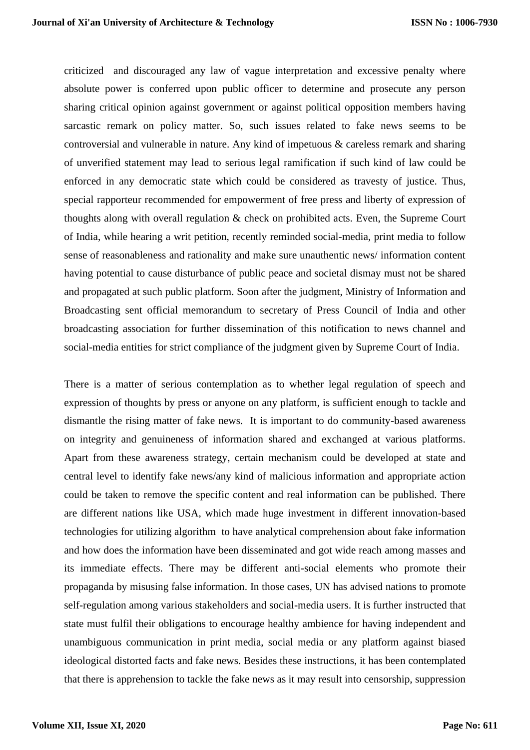criticized and discouraged any law of vague interpretation and excessive penalty where absolute power is conferred upon public officer to determine and prosecute any person sharing critical opinion against government or against political opposition members having sarcastic remark on policy matter. So, such issues related to fake news seems to be controversial and vulnerable in nature. Any kind of impetuous & careless remark and sharing of unverified statement may lead to serious legal ramification if such kind of law could be enforced in any democratic state which could be considered as travesty of justice. Thus, special rapporteur recommended for empowerment of free press and liberty of expression of thoughts along with overall regulation & check on prohibited acts. Even, the Supreme Court of India, while hearing a writ petition, recently reminded social-media, print media to follow sense of reasonableness and rationality and make sure unauthentic news/ information content having potential to cause disturbance of public peace and societal dismay must not be shared and propagated at such public platform. Soon after the judgment, Ministry of Information and Broadcasting sent official memorandum to secretary of Press Council of India and other broadcasting association for further dissemination of this notification to news channel and social-media entities for strict compliance of the judgment given by Supreme Court of India.

There is a matter of serious contemplation as to whether legal regulation of speech and expression of thoughts by press or anyone on any platform, is sufficient enough to tackle and dismantle the rising matter of fake news. It is important to do community-based awareness on integrity and genuineness of information shared and exchanged at various platforms. Apart from these awareness strategy, certain mechanism could be developed at state and central level to identify fake news/any kind of malicious information and appropriate action could be taken to remove the specific content and real information can be published. There are different nations like USA, which made huge investment in different innovation-based technologies for utilizing algorithm to have analytical comprehension about fake information and how does the information have been disseminated and got wide reach among masses and its immediate effects. There may be different anti-social elements who promote their propaganda by misusing false information. In those cases, UN has advised nations to promote self-regulation among various stakeholders and social-media users. It is further instructed that state must fulfil their obligations to encourage healthy ambience for having independent and unambiguous communication in print media, social media or any platform against biased ideological distorted facts and fake news. Besides these instructions, it has been contemplated that there is apprehension to tackle the fake news as it may result into censorship, suppression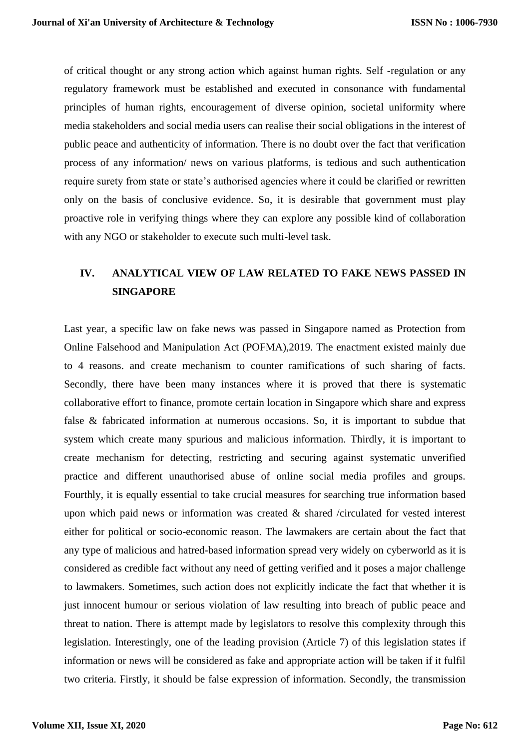of critical thought or any strong action which against human rights. Self -regulation or any regulatory framework must be established and executed in consonance with fundamental principles of human rights, encouragement of diverse opinion, societal uniformity where media stakeholders and social media users can realise their social obligations in the interest of public peace and authenticity of information. There is no doubt over the fact that verification process of any information/ news on various platforms, is tedious and such authentication require surety from state or state's authorised agencies where it could be clarified or rewritten only on the basis of conclusive evidence. So, it is desirable that government must play proactive role in verifying things where they can explore any possible kind of collaboration with any NGO or stakeholder to execute such multi-level task.

# **IV. ANALYTICAL VIEW OF LAW RELATED TO FAKE NEWS PASSED IN SINGAPORE**

Last year, a specific law on fake news was passed in Singapore named as Protection from Online Falsehood and Manipulation Act (POFMA),2019. The enactment existed mainly due to 4 reasons. and create mechanism to counter ramifications of such sharing of facts. Secondly, there have been many instances where it is proved that there is systematic collaborative effort to finance, promote certain location in Singapore which share and express false & fabricated information at numerous occasions. So, it is important to subdue that system which create many spurious and malicious information. Thirdly, it is important to create mechanism for detecting, restricting and securing against systematic unverified practice and different unauthorised abuse of online social media profiles and groups. Fourthly, it is equally essential to take crucial measures for searching true information based upon which paid news or information was created & shared /circulated for vested interest either for political or socio-economic reason. The lawmakers are certain about the fact that any type of malicious and hatred-based information spread very widely on cyberworld as it is considered as credible fact without any need of getting verified and it poses a major challenge to lawmakers. Sometimes, such action does not explicitly indicate the fact that whether it is just innocent humour or serious violation of law resulting into breach of public peace and threat to nation. There is attempt made by legislators to resolve this complexity through this legislation. Interestingly, one of the leading provision (Article 7) of this legislation states if information or news will be considered as fake and appropriate action will be taken if it fulfil two criteria. Firstly, it should be false expression of information. Secondly, the transmission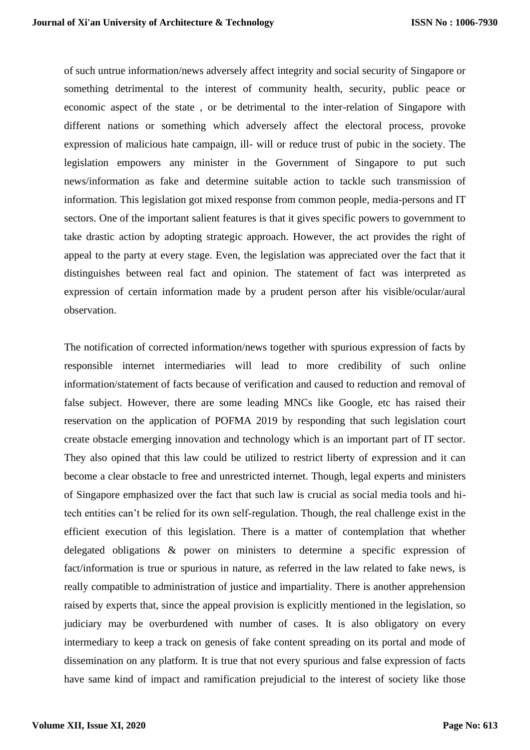of such untrue information/news adversely affect integrity and social security of Singapore or something detrimental to the interest of community health, security, public peace or economic aspect of the state , or be detrimental to the inter-relation of Singapore with different nations or something which adversely affect the electoral process, provoke expression of malicious hate campaign, ill- will or reduce trust of pubic in the society. The legislation empowers any minister in the Government of Singapore to put such news/information as fake and determine suitable action to tackle such transmission of information. This legislation got mixed response from common people, media-persons and IT sectors. One of the important salient features is that it gives specific powers to government to take drastic action by adopting strategic approach. However, the act provides the right of appeal to the party at every stage. Even, the legislation was appreciated over the fact that it distinguishes between real fact and opinion. The statement of fact was interpreted as expression of certain information made by a prudent person after his visible/ocular/aural observation.

The notification of corrected information/news together with spurious expression of facts by responsible internet intermediaries will lead to more credibility of such online information/statement of facts because of verification and caused to reduction and removal of false subject. However, there are some leading MNCs like Google, etc has raised their reservation on the application of POFMA 2019 by responding that such legislation court create obstacle emerging innovation and technology which is an important part of IT sector. They also opined that this law could be utilized to restrict liberty of expression and it can become a clear obstacle to free and unrestricted internet. Though, legal experts and ministers of Singapore emphasized over the fact that such law is crucial as social media tools and hitech entities can't be relied for its own self-regulation. Though, the real challenge exist in the efficient execution of this legislation. There is a matter of contemplation that whether delegated obligations & power on ministers to determine a specific expression of fact/information is true or spurious in nature, as referred in the law related to fake news, is really compatible to administration of justice and impartiality. There is another apprehension raised by experts that, since the appeal provision is explicitly mentioned in the legislation, so judiciary may be overburdened with number of cases. It is also obligatory on every intermediary to keep a track on genesis of fake content spreading on its portal and mode of dissemination on any platform. It is true that not every spurious and false expression of facts have same kind of impact and ramification prejudicial to the interest of society like those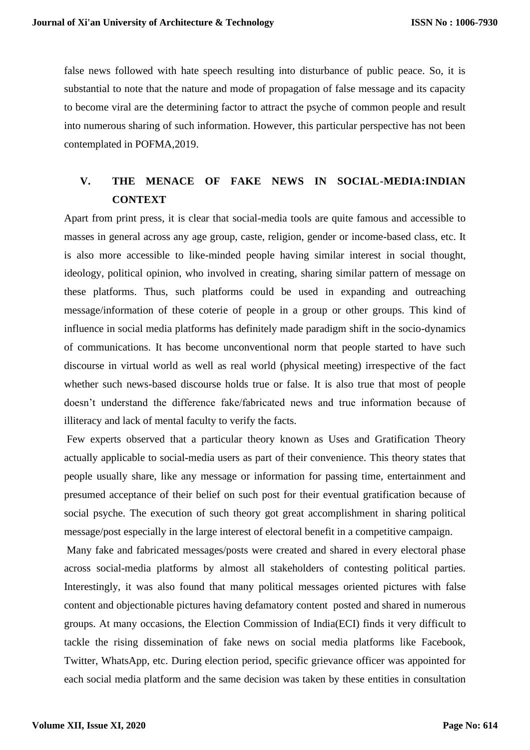false news followed with hate speech resulting into disturbance of public peace. So, it is substantial to note that the nature and mode of propagation of false message and its capacity to become viral are the determining factor to attract the psyche of common people and result into numerous sharing of such information. However, this particular perspective has not been contemplated in POFMA,2019.

## **V. THE MENACE OF FAKE NEWS IN SOCIAL-MEDIA:INDIAN CONTEXT**

Apart from print press, it is clear that social-media tools are quite famous and accessible to masses in general across any age group, caste, religion, gender or income-based class, etc. It is also more accessible to like-minded people having similar interest in social thought, ideology, political opinion, who involved in creating, sharing similar pattern of message on these platforms. Thus, such platforms could be used in expanding and outreaching message/information of these coterie of people in a group or other groups. This kind of influence in social media platforms has definitely made paradigm shift in the socio-dynamics of communications. It has become unconventional norm that people started to have such discourse in virtual world as well as real world (physical meeting) irrespective of the fact whether such news-based discourse holds true or false. It is also true that most of people doesn't understand the difference fake/fabricated news and true information because of illiteracy and lack of mental faculty to verify the facts.

Few experts observed that a particular theory known as Uses and Gratification Theory actually applicable to social-media users as part of their convenience. This theory states that people usually share, like any message or information for passing time, entertainment and presumed acceptance of their belief on such post for their eventual gratification because of social psyche. The execution of such theory got great accomplishment in sharing political message/post especially in the large interest of electoral benefit in a competitive campaign.

Many fake and fabricated messages/posts were created and shared in every electoral phase across social-media platforms by almost all stakeholders of contesting political parties. Interestingly, it was also found that many political messages oriented pictures with false content and objectionable pictures having defamatory content posted and shared in numerous groups. At many occasions, the Election Commission of India(ECI) finds it very difficult to tackle the rising dissemination of fake news on social media platforms like Facebook, Twitter, WhatsApp, etc. During election period, specific grievance officer was appointed for each social media platform and the same decision was taken by these entities in consultation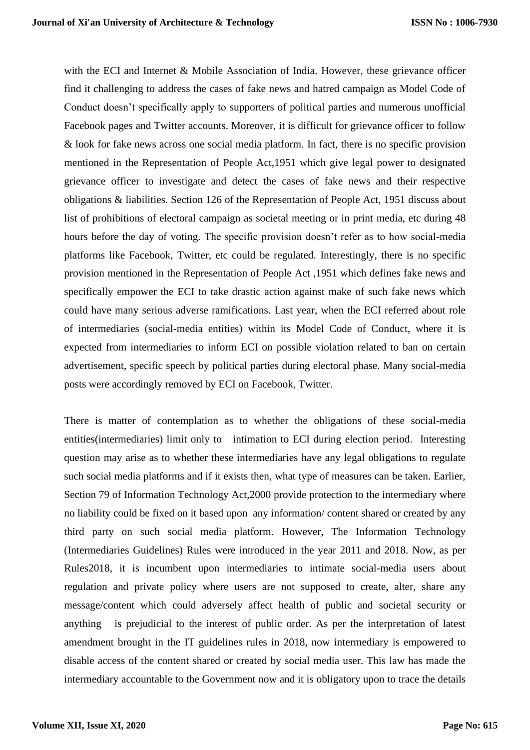with the ECI and Internet & Mobile Association of India. However, these grievance officer find it challenging to address the cases of fake news and hatred campaign as Model Code of Conduct doesn't specifically apply to supporters of political parties and numerous unofficial Facebook pages and Twitter accounts. Moreover, it is difficult for grievance officer to follow & look for fake news across one social media platform. In fact, there is no specific provision mentioned in the Representation of People Act,1951 which give legal power to designated grievance officer to investigate and detect the cases of fake news and their respective obligations & liabilities. Section 126 of the Representation of People Act, 1951 discuss about list of prohibitions of electoral campaign as societal meeting or in print media, etc during 48 hours before the day of voting. The specific provision doesn't refer as to how social-media platforms like Facebook, Twitter, etc could be regulated. Interestingly, there is no specific provision mentioned in the Representation of People Act ,1951 which defines fake news and specifically empower the ECI to take drastic action against make of such fake news which could have many serious adverse ramifications. Last year, when the ECI referred about role of intermediaries (social-media entities) within its Model Code of Conduct, where it is expected from intermediaries to inform ECI on possible violation related to ban on certain advertisement, specific speech by political parties during electoral phase. Many social-media posts were accordingly removed by ECI on Facebook, Twitter.

There is matter of contemplation as to whether the obligations of these social-media entities(intermediaries) limit only to intimation to ECI during election period. Interesting question may arise as to whether these intermediaries have any legal obligations to regulate such social media platforms and if it exists then, what type of measures can be taken. Earlier, Section 79 of Information Technology Act,2000 provide protection to the intermediary where no liability could be fixed on it based upon any information/ content shared or created by any third party on such social media platform. However, The Information Technology (Intermediaries Guidelines) Rules were introduced in the year 2011 and 2018. Now, as per Rules2018, it is incumbent upon intermediaries to intimate social-media users about regulation and private policy where users are not supposed to create, alter, share any message/content which could adversely affect health of public and societal security or anything is prejudicial to the interest of public order. As per the interpretation of latest amendment brought in the IT guidelines rules in 2018, now intermediary is empowered to disable access of the content shared or created by social media user. This law has made the intermediary accountable to the Government now and it is obligatory upon to trace the details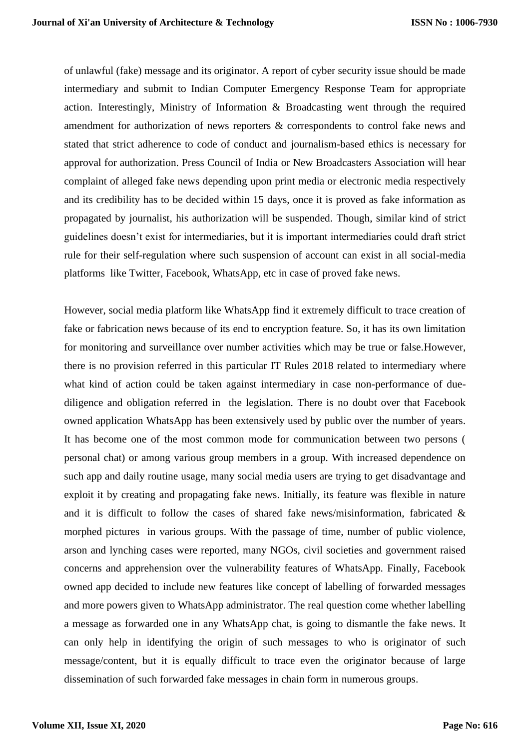of unlawful (fake) message and its originator. A report of cyber security issue should be made intermediary and submit to Indian Computer Emergency Response Team for appropriate action. Interestingly, Ministry of Information & Broadcasting went through the required amendment for authorization of news reporters & correspondents to control fake news and stated that strict adherence to code of conduct and journalism-based ethics is necessary for approval for authorization. Press Council of India or New Broadcasters Association will hear complaint of alleged fake news depending upon print media or electronic media respectively and its credibility has to be decided within 15 days, once it is proved as fake information as propagated by journalist, his authorization will be suspended. Though, similar kind of strict guidelines doesn't exist for intermediaries, but it is important intermediaries could draft strict rule for their self-regulation where such suspension of account can exist in all social-media platforms like Twitter, Facebook, WhatsApp, etc in case of proved fake news.

However, social media platform like WhatsApp find it extremely difficult to trace creation of fake or fabrication news because of its end to encryption feature. So, it has its own limitation for monitoring and surveillance over number activities which may be true or false.However, there is no provision referred in this particular IT Rules 2018 related to intermediary where what kind of action could be taken against intermediary in case non-performance of duediligence and obligation referred in the legislation. There is no doubt over that Facebook owned application WhatsApp has been extensively used by public over the number of years. It has become one of the most common mode for communication between two persons ( personal chat) or among various group members in a group. With increased dependence on such app and daily routine usage, many social media users are trying to get disadvantage and exploit it by creating and propagating fake news. Initially, its feature was flexible in nature and it is difficult to follow the cases of shared fake news/misinformation, fabricated & morphed pictures in various groups. With the passage of time, number of public violence, arson and lynching cases were reported, many NGOs, civil societies and government raised concerns and apprehension over the vulnerability features of WhatsApp. Finally, Facebook owned app decided to include new features like concept of labelling of forwarded messages and more powers given to WhatsApp administrator. The real question come whether labelling a message as forwarded one in any WhatsApp chat, is going to dismantle the fake news. It can only help in identifying the origin of such messages to who is originator of such message/content, but it is equally difficult to trace even the originator because of large dissemination of such forwarded fake messages in chain form in numerous groups.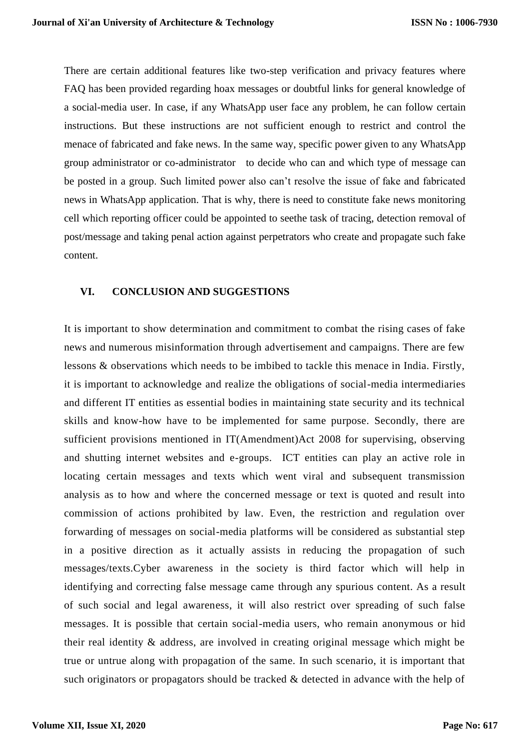There are certain additional features like two-step verification and privacy features where FAQ has been provided regarding hoax messages or doubtful links for general knowledge of a social-media user. In case, if any WhatsApp user face any problem, he can follow certain instructions. But these instructions are not sufficient enough to restrict and control the menace of fabricated and fake news. In the same way, specific power given to any WhatsApp group administrator or co-administrator to decide who can and which type of message can be posted in a group. Such limited power also can't resolve the issue of fake and fabricated news in WhatsApp application. That is why, there is need to constitute fake news monitoring cell which reporting officer could be appointed to seethe task of tracing, detection removal of post/message and taking penal action against perpetrators who create and propagate such fake content.

#### **VI. CONCLUSION AND SUGGESTIONS**

It is important to show determination and commitment to combat the rising cases of fake news and numerous misinformation through advertisement and campaigns. There are few lessons & observations which needs to be imbibed to tackle this menace in India. Firstly, it is important to acknowledge and realize the obligations of social-media intermediaries and different IT entities as essential bodies in maintaining state security and its technical skills and know-how have to be implemented for same purpose. Secondly, there are sufficient provisions mentioned in IT(Amendment)Act 2008 for supervising, observing and shutting internet websites and e-groups. ICT entities can play an active role in locating certain messages and texts which went viral and subsequent transmission analysis as to how and where the concerned message or text is quoted and result into commission of actions prohibited by law. Even, the restriction and regulation over forwarding of messages on social-media platforms will be considered as substantial step in a positive direction as it actually assists in reducing the propagation of such messages/texts.Cyber awareness in the society is third factor which will help in identifying and correcting false message came through any spurious content. As a result of such social and legal awareness, it will also restrict over spreading of such false messages. It is possible that certain social-media users, who remain anonymous or hid their real identity & address, are involved in creating original message which might be true or untrue along with propagation of the same. In such scenario, it is important that such originators or propagators should be tracked & detected in advance with the help of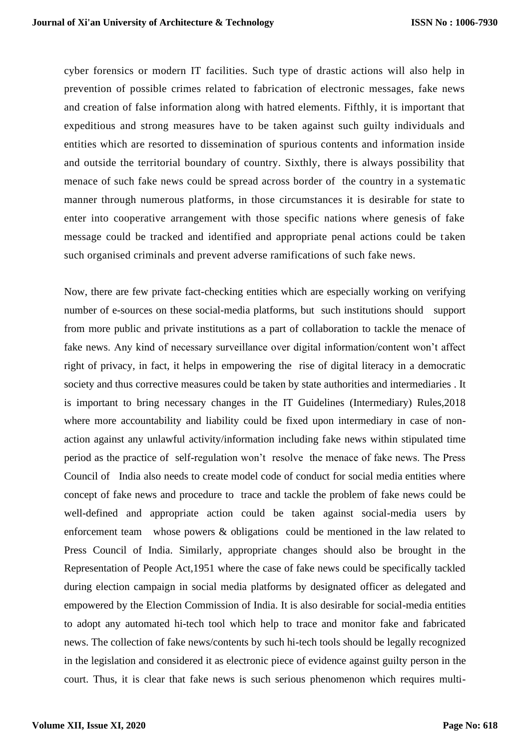cyber forensics or modern IT facilities. Such type of drastic actions will also help in prevention of possible crimes related to fabrication of electronic messages, fake news and creation of false information along with hatred elements. Fifthly, it is important that expeditious and strong measures have to be taken against such guilty individuals and entities which are resorted to dissemination of spurious contents and information inside and outside the territorial boundary of country. Sixthly, there is always possibility that menace of such fake news could be spread across border of the country in a systematic manner through numerous platforms, in those circumstances it is desirable for state to enter into cooperative arrangement with those specific nations where genesis of fake message could be tracked and identified and appropriate penal actions could be taken such organised criminals and prevent adverse ramifications of such fake news.

Now, there are few private fact-checking entities which are especially working on verifying number of e-sources on these social-media platforms, but such institutions should support from more public and private institutions as a part of collaboration to tackle the menace of fake news. Any kind of necessary surveillance over digital information/content won't affect right of privacy, in fact, it helps in empowering the rise of digital literacy in a democratic society and thus corrective measures could be taken by state authorities and intermediaries . It is important to bring necessary changes in the IT Guidelines (Intermediary) Rules,2018 where more accountability and liability could be fixed upon intermediary in case of nonaction against any unlawful activity/information including fake news within stipulated time period as the practice of self-regulation won't resolve the menace of fake news. The Press Council of India also needs to create model code of conduct for social media entities where concept of fake news and procedure to trace and tackle the problem of fake news could be well-defined and appropriate action could be taken against social-media users by enforcement team whose powers & obligations could be mentioned in the law related to Press Council of India. Similarly, appropriate changes should also be brought in the Representation of People Act,1951 where the case of fake news could be specifically tackled during election campaign in social media platforms by designated officer as delegated and empowered by the Election Commission of India. It is also desirable for social-media entities to adopt any automated hi-tech tool which help to trace and monitor fake and fabricated news. The collection of fake news/contents by such hi-tech tools should be legally recognized in the legislation and considered it as electronic piece of evidence against guilty person in the court. Thus, it is clear that fake news is such serious phenomenon which requires multi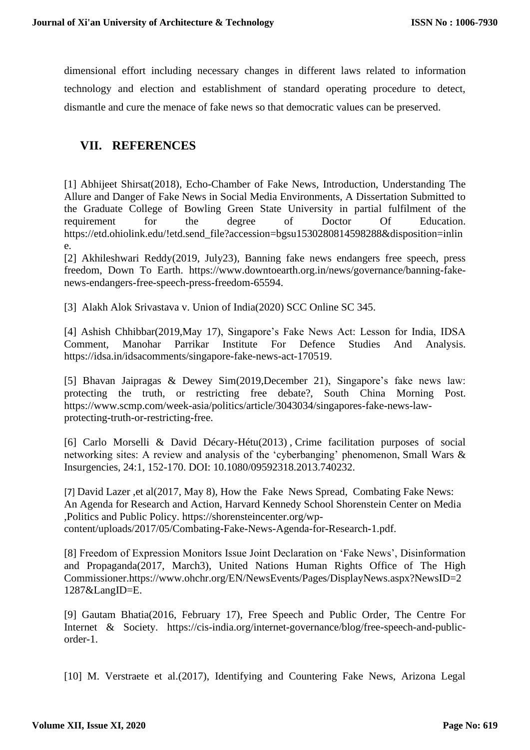dimensional effort including necessary changes in different laws related to information technology and election and establishment of standard operating procedure to detect, dismantle and cure the menace of fake news so that democratic values can be preserved.

### **VII. REFERENCES**

[1] Abhijeet Shirsat(2018), Echo-Chamber of Fake News, Introduction, Understanding The Allure and Danger of Fake News in Social Media Environments, A Dissertation Submitted to the Graduate College of Bowling Green State University in partial fulfilment of the requirement for the degree of Doctor Of Education. [https://etd.ohiolink.edu/!etd.send\\_file?accession=bgsu1530280814598288&disposition=inlin](https://etd.ohiolink.edu/!etd.send_file?accession=bgsu1530280814598288&disposition=inline) [e.](https://etd.ohiolink.edu/!etd.send_file?accession=bgsu1530280814598288&disposition=inline)

[2] Akhileshwari Reddy(2019, July23), Banning fake news endangers free speech, press freedom, Down To Earth. [https://www.downtoearth.org.in/news/governance/banning-fake](https://www.downtoearth.org.in/news/governance/banning-fake-news-endangers-free-speech-press-freedom-65594)[news-endangers-free-speech-press-freedom-65594.](https://www.downtoearth.org.in/news/governance/banning-fake-news-endangers-free-speech-press-freedom-65594)

[3] Alakh Alok Srivastava v. Union of India(2020) SCC Online SC 345.

[4] Ashish Chhibbar(2019,May 17), Singapore's Fake News Act: Lesson for India, IDSA Comment, Manohar Parrikar Institute For Defence Studies And Analysis. [https://idsa.in/idsacomments/singapore-fake-news-act-170519.](https://idsa.in/idsacomments/singapore-fake-news-act-170519)

[5] Bhavan Jaipragas & Dewey Sim(2019,December 21), Singapore's fake news law: protecting the truth, or restricting free debate?, South China Morning Post. [https://www.scmp.com/week-asia/politics/article/3043034/singapores-fake-news-law](https://www.scmp.com/week-asia/politics/article/3043034/singapores-fake-news-law-protecting-truth-or-restricting-free)[protecting-truth-or-restricting-free.](https://www.scmp.com/week-asia/politics/article/3043034/singapores-fake-news-law-protecting-truth-or-restricting-free)

[6] Carlo Morselli & David Décary-Hétu(2013) , Crime facilitation purposes of social networking sites: A review and analysis of the 'cyberbanging' phenomenon, Small Wars & Insurgencies, 24:1, 152-170. DOI: [10.1080/09592318.2013.740232.](https://doi.org/10.1080/09592318.2013.740232)

[7] David Lazer ,et al(2017, May 8), How the Fake News Spread, Combating Fake News: An Agenda for Research and Action, Harvard Kennedy School Shorenstein Center on Media ,Politics and Public Policy. [https://shorensteincenter.org/wp](https://shorensteincenter.org/wp-content/uploads/2017/05/Combating-Fake-News-Agenda-for-Research-1.pdf)[content/uploads/2017/05/Combating-Fake-News-Agenda-for-Research-1.pdf.](https://shorensteincenter.org/wp-content/uploads/2017/05/Combating-Fake-News-Agenda-for-Research-1.pdf)

[8] Freedom of Expression Monitors Issue Joint Declaration on 'Fake News', Disinformation and Propaganda(2017, March3), United Nations Human Rights Office of The High Commissioner[.https://www.ohchr.org/EN/NewsEvents/Pages/DisplayNews.aspx?NewsID=2](https://www.ohchr.org/EN/NewsEvents/Pages/DisplayNews.aspx?NewsID=21287&LangID=E) [1287&LangID=E.](https://www.ohchr.org/EN/NewsEvents/Pages/DisplayNews.aspx?NewsID=21287&LangID=E)

[9] Gautam Bhatia(2016, February 17), Free Speech and Public Order, The Centre For Internet & Society. [https://cis-india.org/internet-governance/blog/free-speech-and-public](https://cis-india.org/internet-governance/blog/free-speech-and-public-order-1)[order-1.](https://cis-india.org/internet-governance/blog/free-speech-and-public-order-1)

[10] M. Verstraete et al. (2017), Identifying and Countering Fake News, Arizona Legal